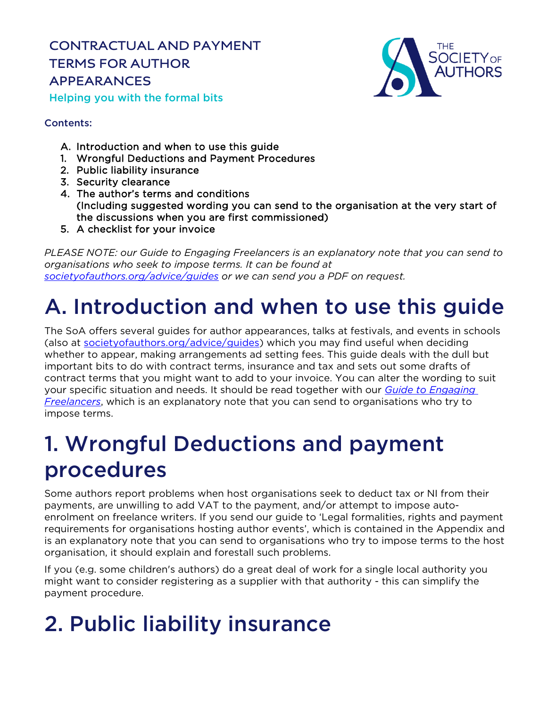**CONTRACTUAL AND PAYMENT TERMS FOR AUTHOR APPEARANCES** Helping you with the formal bits



## Contents:

- A. Introduction and when to use this guide
- 1. Wrongful Deductions and Payment Procedures
- 2. Public liability insurance
- 3. Security clearance
- 4. The author's terms and conditions (Including suggested wording you can send to the organisation at the very start of the discussions when you are first commissioned)
- 5. A checklist for your invoice

*PLEASE NOTE: our Guide to Engaging Freelancers is an explanatory note that you can send to organisations who seek to impose terms. It can be found at [societyofauthors.org/advice/guides](http://www.societyofauthors.org/advice/guides) or we can send you a PDF on request.*

# A. Introduction and when to use this guide

The SoA offers several guides for author appearances, talks at festivals, and events in schools (also at [societyofauthors.org/advice/guides\)](http://www.societyofauthors.org/advice/guides) which you may find useful when deciding whether to appear, making arrangements ad setting fees. This guide deals with the dull but important bits to do with contract terms, insurance and tax and sets out some drafts of contract terms that you might want to add to your invoice. You can alter the wording to suit your specific situation and needs. It should be read together with our *[Guide to Engaging](https://www.societyofauthors.org/SOA/MediaLibrary/SOAWebsite/Guides/Guide-to-terms-for-engaging-freelancers.pdf)  [Freelancers](https://www.societyofauthors.org/SOA/MediaLibrary/SOAWebsite/Guides/Guide-to-terms-for-engaging-freelancers.pdf)*, which is an explanatory note that you can send to organisations who try to impose terms.

## 1. Wrongful Deductions and payment procedures

Some authors report problems when host organisations seek to deduct tax or NI from their payments, are unwilling to add VAT to the payment, and/or attempt to impose autoenrolment on freelance writers. If you send our guide to 'Legal formalities, rights and payment requirements for organisations hosting author events', which is contained in the Appendix and is an explanatory note that you can send to organisations who try to impose terms to the host organisation, it should explain and forestall such problems.

If you (e.g. some children's authors) do a great deal of work for a single local authority you might want to consider registering as a supplier with that authority - this can simplify the payment procedure.

# 2. Public liability insurance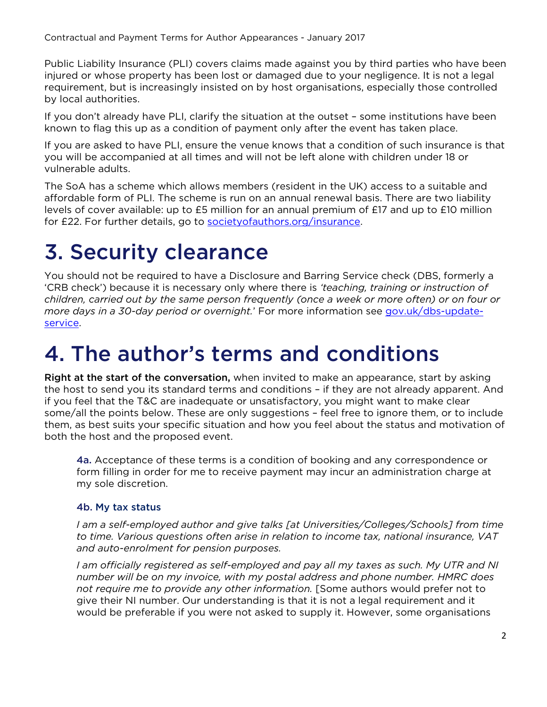Contractual and Payment Terms for Author Appearances - January 2017

Public Liability Insurance (PLI) covers claims made against you by third parties who have been injured or whose property has been lost or damaged due to your negligence. It is not a legal requirement, but is increasingly insisted on by host organisations, especially those controlled by local authorities.

If you don't already have PLI, clarify the situation at the outset – some institutions have been known to flag this up as a condition of payment only after the event has taken place.

If you are asked to have PLI, ensure the venue knows that a condition of such insurance is that you will be accompanied at all times and will not be left alone with children under 18 or vulnerable adults.

The SoA has a scheme which allows members (resident in the UK) access to a suitable and affordable form of PLI. The scheme is run on an annual renewal basis. There are two liability levels of cover available: up to £5 million for an annual premium of £17 and up to £10 million for £22. For further details, go to societyofauthors.org/insurance.

## 3. Security clearance

You should not be required to have a Disclosure and Barring Service check (DBS, formerly a 'CRB check') because it is necessary only where there is *'teaching, training or instruction of children, carried out by the same person frequently (once a week or more often) or on four or more days in a 30-day period or overnight.*' For more information see [gov.uk/dbs-update](http://www.gov.uk/dbs-update-service)[service.](http://www.gov.uk/dbs-update-service)

## 4. The author's terms and conditions

Right at the start of the conversation, when invited to make an appearance, start by asking the host to send you its standard terms and conditions – if they are not already apparent. And if you feel that the T&C are inadequate or unsatisfactory, you might want to make clear some/all the points below. These are only suggestions – feel free to ignore them, or to include them, as best suits your specific situation and how you feel about the status and motivation of both the host and the proposed event.

4a. Acceptance of these terms is a condition of booking and any correspondence or form filling in order for me to receive payment may incur an administration charge at my sole discretion.

### 4b. My tax status

*I am a self-employed author and give talks [at Universities/Colleges/Schools] from time to time. Various questions often arise in relation to income tax, national insurance, VAT and auto-enrolment for pension purposes.*

*I am officially registered as self-employed and pay all my taxes as such. My UTR and NI number will be on my invoice, with my postal address and phone number. HMRC does not require me to provide any other information.* [Some authors would prefer not to give their NI number. Our understanding is that it is not a legal requirement and it would be preferable if you were not asked to supply it. However, some organisations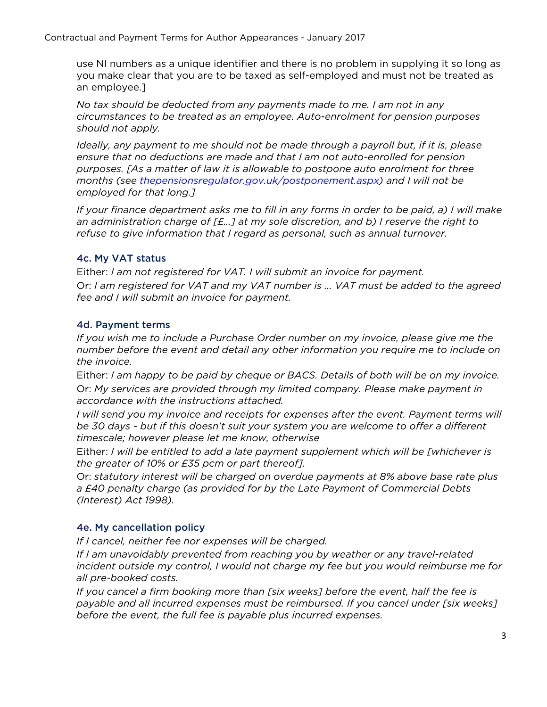Contractual and Payment Terms for Author Appearances - January 2017

use NI numbers as a unique identifier and there is no problem in supplying it so long as you make clear that you are to be taxed as self-employed and must not be treated as an employee.]

*No tax should be deducted from any payments made to me. I am not in any circumstances to be treated as an employee. Auto-enrolment for pension purposes should not apply.*

*Ideally, any payment to me should not be made through a payroll but, if it is, please ensure that no deductions are made and that I am not auto-enrolled for pension purposes. [As a matter of law it is allowable to postpone auto enrolment for three months (see [thepensionsregulator.gov.uk/postponement.aspx\)](http://www.thepensionsregulator.gov.uk/postponement.aspx) and I will not be employed for that long.]*

*If your finance department asks me to fill in any forms in order to be paid, a) I will make an administration charge of [£…] at my sole discretion, and b) I reserve the right to refuse to give information that I regard as personal, such as annual turnover.* 

### 4c. My VAT status

Either: *I am not registered for VAT. I will submit an invoice for payment.* Or: *I am registered for VAT and my VAT number is ... VAT must be added to the agreed fee and I will submit an invoice for payment.*

### 4d. Payment terms

*If you wish me to include a Purchase Order number on my invoice, please give me the number before the event and detail any other information you require me to include on the invoice.* 

Either: *I am happy to be paid by cheque or BACS. Details of both will be on my invoice.*  Or: *My services are provided through my limited company. Please make payment in accordance with the instructions attached.*

*I will send you my invoice and receipts for expenses after the event. Payment terms will be 30 days - but if this doesn't suit your system you are welcome to offer a different timescale; however please let me know, otherwise*

Either: *I will be entitled to add a late payment supplement which will be [whichever is the greater of 10% or £35 pcm or part thereof].*

Or: *statutory interest will be charged on overdue payments at 8% above base rate plus a £40 penalty charge (as provided for by the Late Payment of Commercial Debts (Interest) Act 1998).* 

### 4e. My cancellation policy

*If I cancel, neither fee nor expenses will be charged.*

*If I am unavoidably prevented from reaching you by weather or any travel-related incident outside my control, I would not charge my fee but you would reimburse me for all pre-booked costs.*

*If you cancel a firm booking more than [six weeks] before the event, half the fee is payable and all incurred expenses must be reimbursed. If you cancel under [six weeks] before the event, the full fee is payable plus incurred expenses.*